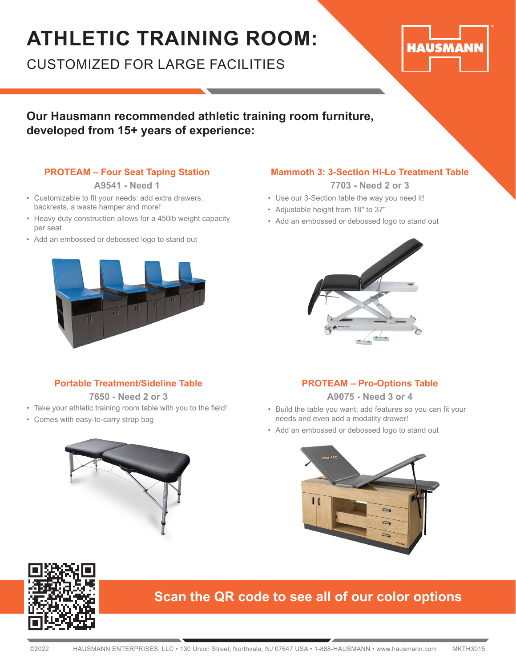### **ATHLETIC TRAINING ROOM:**

CUSTOMIZED FOR LARGE FACILITIES

# **HAUSMANN**

### **Our Hausmann recommended athletic training room furniture, developed from 15+ years of experience:**

### **PROTEAM – Four Seat Taping Station**

**A9541 - Need 1**

- Customizable to fit your needs: add extra drawers, backrests, a waste hamper and more!
- Heavy duty construction allows for a 450lb weight capacity per seat
- Add an embossed or debossed logo to stand out

### **Mammoth 3: 3-Section Hi-Lo Treatment Table**

**7703 - Need 2 or 3**

- Use our 3-Section table the way you need it!
- Adjustable height from 18" to 37"
- Add an embossed or debossed logo to stand out



### **Portable Treatment/Sideline Table**

**7650 - Need 2 or 3**

- Take your athletic training room table with you to the field!
- Comes with easy-to-carry strap bag



**A9075 - Need 3 or 4**

- Build the table you want; add features so you can fit your needs and even add a modality drawer!
- Add an embossed or debossed logo to stand out





### **Scan the QR code to see all of our color options**